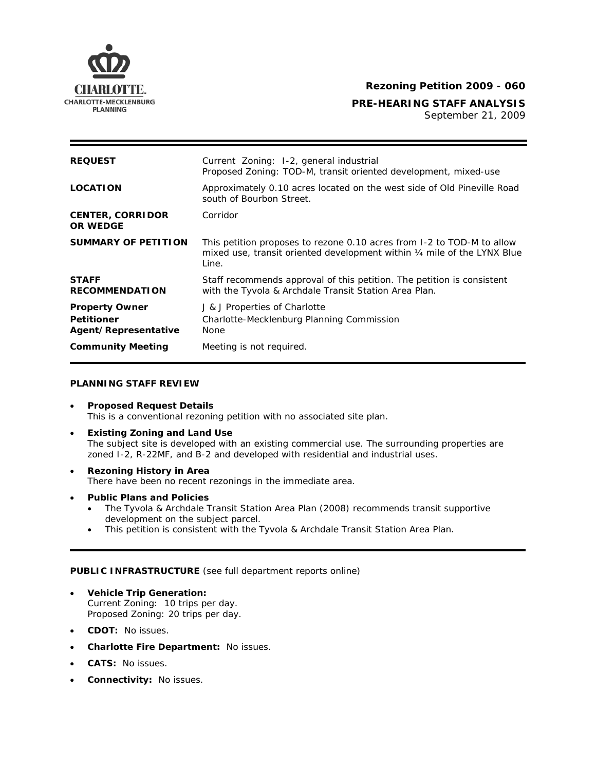

# **CHARLOTTE.** The control of the control of the Rezoning Petition 2009 - 060

**PRE-HEARING STAFF ANALYSIS** 

PLANNING<br>
September 21, 2009

| <b>REQUEST</b>                                                     | Current Zoning: 1-2, general industrial<br>Proposed Zoning: TOD-M, transit oriented development, mixed-use                                                  |
|--------------------------------------------------------------------|-------------------------------------------------------------------------------------------------------------------------------------------------------------|
| <b>LOCATION</b>                                                    | Approximately 0.10 acres located on the west side of Old Pineville Road<br>south of Bourbon Street.                                                         |
| <b>CENTER, CORRIDOR</b><br><b>OR WEDGE</b>                         | Corridor                                                                                                                                                    |
| <b>SUMMARY OF PETITION</b>                                         | This petition proposes to rezone 0.10 acres from 1-2 to TOD-M to allow<br>mixed use, transit oriented development within 1/4 mile of the LYNX Blue<br>Line. |
| <b>STAFF</b><br><b>RECOMMENDATION</b>                              | Staff recommends approval of this petition. The petition is consistent<br>with the Tyvola & Archdale Transit Station Area Plan.                             |
| <b>Property Owner</b><br><b>Petitioner</b><br>Agent/Representative | J & J Properties of Charlotte<br>Charlotte-Mecklenburg Planning Commission<br><b>None</b>                                                                   |
| <b>Community Meeting</b>                                           | Meeting is not required.                                                                                                                                    |

### **PLANNING STAFF REVIEW**

- **Proposed Request Details** This is a conventional rezoning petition with no associated site plan.
- **Existing Zoning and Land Use**  The subject site is developed with an existing commercial use. The surrounding properties are zoned I-2, R-22MF, and B-2 and developed with residential and industrial uses.
- **Rezoning History in Area**  There have been no recent rezonings in the immediate area.
- **Public Plans and Policies**
	- The *Tyvola & Archdale Transit Station Area Plan* (2008) recommends transit supportive development on the subject parcel.
	- This petition is consistent with the *Tyvola & Archdale Transit Station Area Plan*.

# **PUBLIC INFRASTRUCTURE** (see full department reports online)

- **Vehicle Trip Generation:** Current Zoning: 10 trips per day. Proposed Zoning: 20 trips per day.
- **CDOT:** No issues.
- **Charlotte Fire Department:** No issues.
- **CATS:** No issues.
- **Connectivity:** No issues.